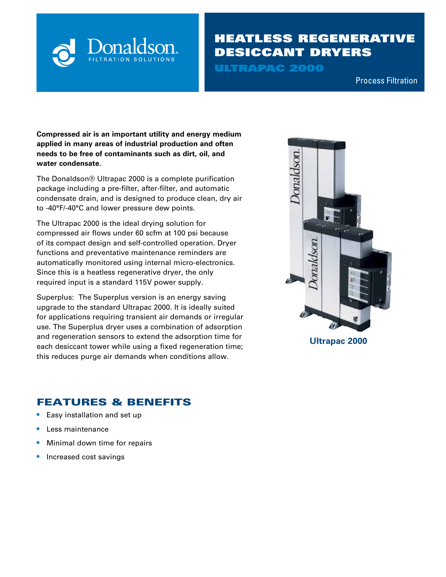

# HEATLESS REGENERATIVE DESICCANT DRYERS

ULTRAPAC 2000

Compressed Air & Process Filtration Process Filtration

**Compressed air is an important utility and energy medium applied in many areas of industrial production and often needs to be free of contaminants such as dirt, oil, and water condensate.** 

The Donaldson® Ultrapac 2000 is a complete purification package including a pre-filter, after-filter, and automatic condensate drain, and is designed to produce clean, dry air to -40°F/-40°C and lower pressure dew points.

The Ultrapac 2000 is the ideal drying solution for compressed air flows under 60 scfm at 100 psi because of its compact design and self-controlled operation. Dryer functions and preventative maintenance reminders are automatically monitored using internal micro-electronics. Since this is a heatless regenerative dryer, the only required input is a standard 115V power supply.

Superplus: The Superplus version is an energy saving upgrade to the standard Ultrapac 2000. It is ideally suited for applications requiring transient air demands or irregular use. The Superplus dryer uses a combination of adsorption and regeneration sensors to extend the adsorption time for each desiccant tower while using a fixed regeneration time; this reduces purge air demands when conditions allow.



**Ultrapac 2000**

## FEATURES & BENEFITS

- **•** Easy installation and set up
- **•** Less maintenance
- **•** Minimal down time for repairs
- **•** Increased cost savings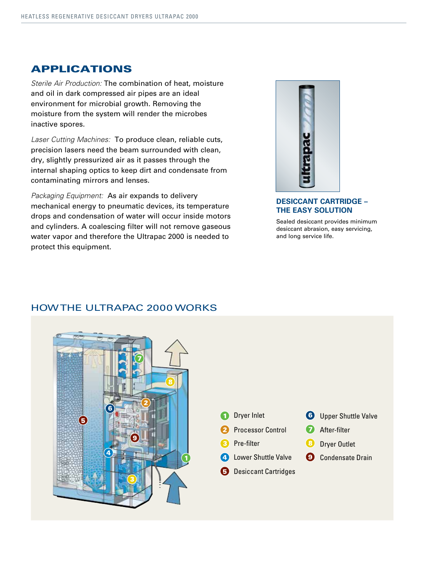## APPLICATIONS

*Sterile Air Production:* The combination of heat, moisture and oil in dark compressed air pipes are an ideal environment for microbial growth. Removing the moisture from the system will render the microbes inactive spores.

*Laser Cutting Machines:* To produce clean, reliable cuts, precision lasers need the beam surrounded with clean, dry, slightly pressurized air as it passes through the internal shaping optics to keep dirt and condensate from contaminating mirrors and lenses.

*Packaging Equipment:* As air expands to delivery mechanical energy to pneumatic devices, its temperature drops and condensation of water will occur inside motors and cylinders. A coalescing filter will not remove gaseous water vapor and therefore the Ultrapac 2000 is needed to protect this equipment.



### **DESICCANT CARTRIDGE – THE EASY SOLUTION**

Sealed desiccant provides minimum desiccant abrasion, easy servicing, and long service life.



## HOW THE ULTRAPAC 2000 WORKS

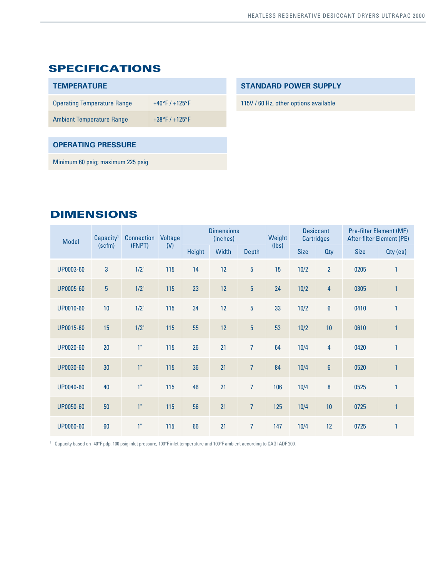## SPECIFICATIONS

| <b>TEMPERATURE</b>                 |                                    |
|------------------------------------|------------------------------------|
| <b>Operating Temperature Range</b> | $+40^{\circ}$ F / $+125^{\circ}$ F |
| <b>Ambient Temperature Range</b>   | $+38^{\circ}F/+125^{\circ}F$       |
|                                    |                                    |
|                                    |                                    |

### **OPERATING PRESSURE**

Minimum 60 psig; maximum 225 psig

### **STANDARD POWER SUPPLY**

115V / 60 Hz, other options available

## DIMENSIONS

| <b>Model</b>     | Capacity <sup>1</sup><br>(scfm) | <b>Connection</b> | Voltage | <b>Dimensions</b><br>(inches) |       |                | Weight | <b>Desiccant</b><br><b>Cartridges</b> |                  | <b>Pre-filter Element (MF)</b><br>After-filter Element (PE) |              |
|------------------|---------------------------------|-------------------|---------|-------------------------------|-------|----------------|--------|---------------------------------------|------------------|-------------------------------------------------------------|--------------|
|                  |                                 | (FNPT)            | (V)     | Height                        | Width | <b>Depth</b>   | (lbs)  | <b>Size</b>                           | <b>Qty</b>       | <b>Size</b>                                                 | $Qty$ (ea)   |
| UP0003-60        | $\sqrt{3}$                      | 1/2"              | 115     | 14                            | 12    | $\overline{5}$ | 15     | 10/2                                  | $\overline{2}$   | 0205                                                        | $\mathbf{1}$ |
| <b>UP0005-60</b> | $\overline{5}$                  | 1/2"              | 115     | 23                            | 12    | $\overline{5}$ | 24     | 10/2                                  | 4                | 0305                                                        | $\mathbf{1}$ |
| UP0010-60        | 10                              | 1/2"              | 115     | 34                            | 12    | $\overline{5}$ | 33     | 10/2                                  | $\boldsymbol{6}$ | 0410                                                        | $\mathbf{1}$ |
| UP0015-60        | 15                              | 1/2"              | 115     | 55                            | 12    | $\overline{5}$ | 53     | 10/2                                  | 10               | 0610                                                        | $\mathbf{1}$ |
| UP0020-60        | 20                              | 1 <sup>0</sup>    | 115     | 26                            | 21    | $\overline{7}$ | 64     | 10/4                                  | 4                | 0420                                                        | $\mathbf{1}$ |
| UP0030-60        | 30                              | 1 <sup>0</sup>    | 115     | 36                            | 21    | $\overline{7}$ | 84     | 10/4                                  | $6\phantom{a}$   | 0520                                                        | $\mathbf{1}$ |
| UP0040-60        | 40                              | 1 <sup>0</sup>    | 115     | 46                            | 21    | $\overline{7}$ | 106    | 10/4                                  | $\pmb{8}$        | 0525                                                        | $\mathbf{1}$ |
| UP0050-60        | 50                              | 1 <sup>0</sup>    | 115     | 56                            | 21    | $\overline{7}$ | 125    | 10/4                                  | 10               | 0725                                                        | $\mathbf{1}$ |
| <b>UP0060-60</b> | 60                              | 1"                | 115     | 66                            | 21    | $\overline{7}$ | 147    | 10/4                                  | 12               | 0725                                                        | $\mathbf{1}$ |

1 Capacity based on -40°F pdp, 100 psig inlet pressure, 100°F inlet temperature and 100°F ambient according to CAGI ADF 200.